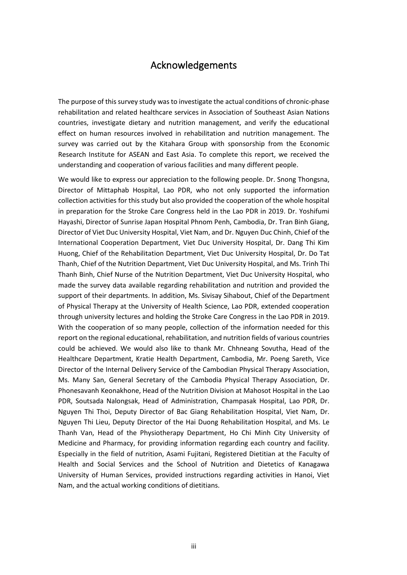## Acknowledgements

The purpose of this survey study was to investigate the actual conditions of chronic-phase rehabilitation and related healthcare services in Association of Southeast Asian Nations countries, investigate dietary and nutrition management, and verify the educational effect on human resources involved in rehabilitation and nutrition management. The survey was carried out by the Kitahara Group with sponsorship from the Economic Research Institute for ASEAN and East Asia. To complete this report, we received the understanding and cooperation of various facilities and many different people.

We would like to express our appreciation to the following people. Dr. Snong Thongsna, Director of Mittaphab Hospital, Lao PDR, who not only supported the information collection activities for this study but also provided the cooperation of the whole hospital in preparation for the Stroke Care Congress held in the Lao PDR in 2019. Dr. Yoshifumi Hayashi, Director of Sunrise Japan Hospital Phnom Penh, Cambodia, Dr. Tran Binh Giang, Director of Viet Duc University Hospital, Viet Nam, and Dr. Nguyen Duc Chinh, Chief of the International Cooperation Department, Viet Duc University Hospital, Dr. Dang Thi Kim Huong, Chief of the Rehabilitation Department, Viet Duc University Hospital, Dr. Do Tat Thanh, Chief of the Nutrition Department, Viet Duc University Hospital, and Ms. Trinh Thi Thanh Binh, Chief Nurse of the Nutrition Department, Viet Duc University Hospital, who made the survey data available regarding rehabilitation and nutrition and provided the support of their departments. In addition, Ms. Sivisay Sihabout, Chief of the Department of Physical Therapy at the University of Health Science, Lao PDR, extended cooperation through university lectures and holding the Stroke Care Congress in the Lao PDR in 2019. With the cooperation of so many people, collection of the information needed for this report on the regional educational, rehabilitation, and nutrition fields of various countries could be achieved. We would also like to thank Mr. Chhneang Sovutha, Head of the Healthcare Department, Kratie Health Department, Cambodia, Mr. Poeng Sareth, Vice Director of the Internal Delivery Service of the Cambodian Physical Therapy Association, Ms. Many San, General Secretary of the Cambodia Physical Therapy Association, Dr. Phonesavanh Keonakhone, Head of the Nutrition Division at Mahosot Hospital in the Lao PDR, Soutsada Nalongsak, Head of Administration, Champasak Hospital, Lao PDR, Dr. Nguyen Thi Thoi, Deputy Director of Bac Giang Rehabilitation Hospital, Viet Nam, Dr. Nguyen Thi Lieu, Deputy Director of the Hai Duong Rehabilitation Hospital, and Ms. Le Thanh Van, Head of the Physiotherapy Department, Ho Chi Minh City University of Medicine and Pharmacy, for providing information regarding each country and facility. Especially in the field of nutrition, Asami Fujitani, Registered Dietitian at the Faculty of Health and Social Services and the School of Nutrition and Dietetics of Kanagawa University of Human Services, provided instructions regarding activities in Hanoi, Viet Nam, and the actual working conditions of dietitians.